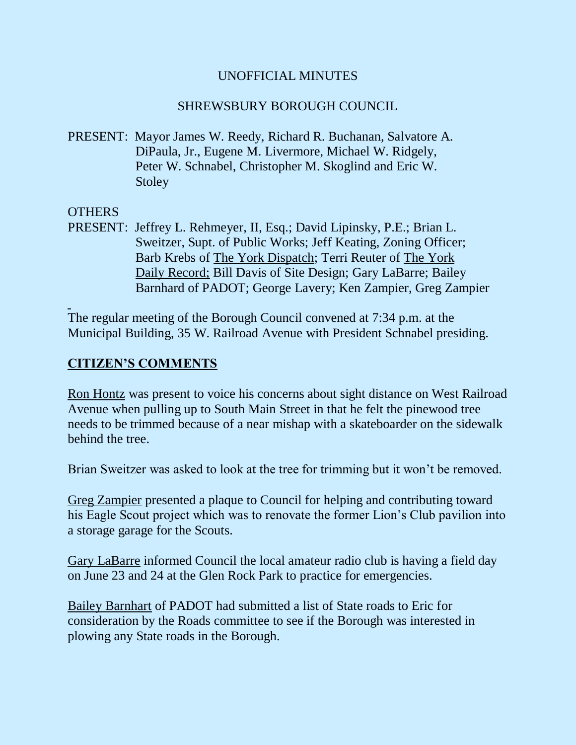# UNOFFICIAL MINUTES

# SHREWSBURY BOROUGH COUNCIL

PRESENT: Mayor James W. Reedy, Richard R. Buchanan, Salvatore A. DiPaula, Jr., Eugene M. Livermore, Michael W. Ridgely, Peter W. Schnabel, Christopher M. Skoglind and Eric W. **Stoley** 

#### **OTHERS**

PRESENT: Jeffrey L. Rehmeyer, II, Esq.; David Lipinsky, P.E.; Brian L. Sweitzer, Supt. of Public Works; Jeff Keating, Zoning Officer; Barb Krebs of The York Dispatch; Terri Reuter of The York Daily Record; Bill Davis of Site Design; Gary LaBarre; Bailey Barnhard of PADOT; George Lavery; Ken Zampier, Greg Zampier

The regular meeting of the Borough Council convened at 7:34 p.m. at the Municipal Building, 35 W. Railroad Avenue with President Schnabel presiding.

# **CITIZEN'S COMMENTS**

Ron Hontz was present to voice his concerns about sight distance on West Railroad Avenue when pulling up to South Main Street in that he felt the pinewood tree needs to be trimmed because of a near mishap with a skateboarder on the sidewalk behind the tree.

Brian Sweitzer was asked to look at the tree for trimming but it won't be removed.

Greg Zampier presented a plaque to Council for helping and contributing toward his Eagle Scout project which was to renovate the former Lion's Club pavilion into a storage garage for the Scouts.

Gary LaBarre informed Council the local amateur radio club is having a field day on June 23 and 24 at the Glen Rock Park to practice for emergencies.

Bailey Barnhart of PADOT had submitted a list of State roads to Eric for consideration by the Roads committee to see if the Borough was interested in plowing any State roads in the Borough.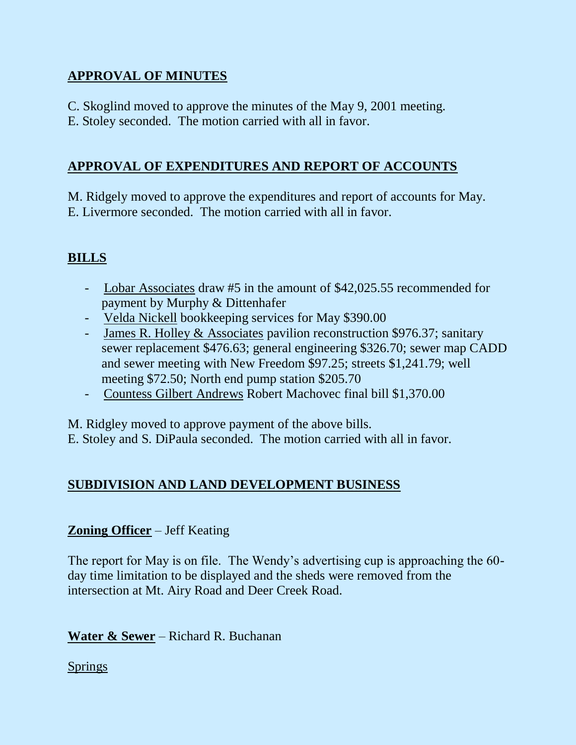# **APPROVAL OF MINUTES**

- C. Skoglind moved to approve the minutes of the May 9, 2001 meeting.
- E. Stoley seconded. The motion carried with all in favor.

# **APPROVAL OF EXPENDITURES AND REPORT OF ACCOUNTS**

M. Ridgely moved to approve the expenditures and report of accounts for May. E. Livermore seconded. The motion carried with all in favor.

# **BILLS**

- Lobar Associates draw #5 in the amount of \$42,025.55 recommended for payment by Murphy & Dittenhafer
- Velda Nickell bookkeeping services for May \$390.00
- James R. Holley & Associates pavilion reconstruction \$976.37; sanitary sewer replacement \$476.63; general engineering \$326.70; sewer map CADD and sewer meeting with New Freedom \$97.25; streets \$1,241.79; well meeting \$72.50; North end pump station \$205.70
- Countess Gilbert Andrews Robert Machovec final bill \$1,370.00

M. Ridgley moved to approve payment of the above bills.

E. Stoley and S. DiPaula seconded. The motion carried with all in favor.

# **SUBDIVISION AND LAND DEVELOPMENT BUSINESS**

# **Zoning Officer** – Jeff Keating

The report for May is on file. The Wendy's advertising cup is approaching the 60 day time limitation to be displayed and the sheds were removed from the intersection at Mt. Airy Road and Deer Creek Road.

**Water & Sewer** – Richard R. Buchanan

**Springs**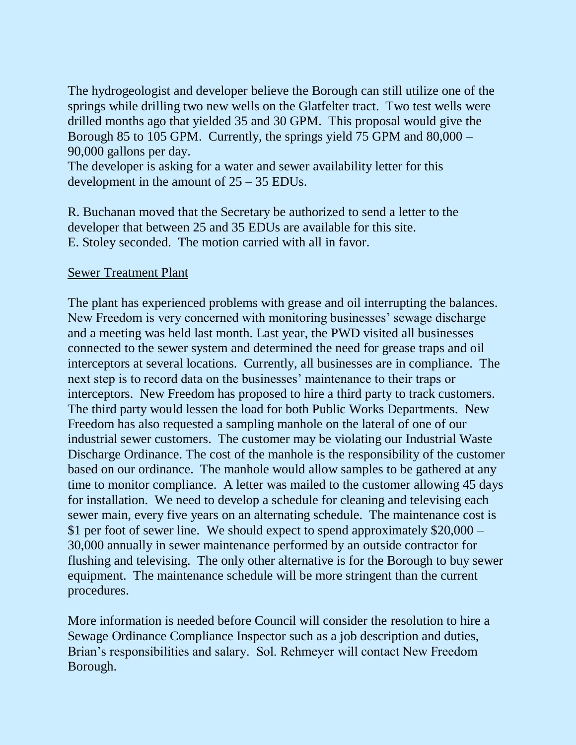The hydrogeologist and developer believe the Borough can still utilize one of the springs while drilling two new wells on the Glatfelter tract. Two test wells were drilled months ago that yielded 35 and 30 GPM. This proposal would give the Borough 85 to 105 GPM. Currently, the springs yield 75 GPM and 80,000 – 90,000 gallons per day.

The developer is asking for a water and sewer availability letter for this development in the amount of 25 – 35 EDUs.

R. Buchanan moved that the Secretary be authorized to send a letter to the developer that between 25 and 35 EDUs are available for this site. E. Stoley seconded. The motion carried with all in favor.

#### Sewer Treatment Plant

The plant has experienced problems with grease and oil interrupting the balances. New Freedom is very concerned with monitoring businesses' sewage discharge and a meeting was held last month. Last year, the PWD visited all businesses connected to the sewer system and determined the need for grease traps and oil interceptors at several locations. Currently, all businesses are in compliance. The next step is to record data on the businesses' maintenance to their traps or interceptors. New Freedom has proposed to hire a third party to track customers. The third party would lessen the load for both Public Works Departments. New Freedom has also requested a sampling manhole on the lateral of one of our industrial sewer customers. The customer may be violating our Industrial Waste Discharge Ordinance. The cost of the manhole is the responsibility of the customer based on our ordinance. The manhole would allow samples to be gathered at any time to monitor compliance. A letter was mailed to the customer allowing 45 days for installation. We need to develop a schedule for cleaning and televising each sewer main, every five years on an alternating schedule. The maintenance cost is \$1 per foot of sewer line. We should expect to spend approximately \$20,000 – 30,000 annually in sewer maintenance performed by an outside contractor for flushing and televising. The only other alternative is for the Borough to buy sewer equipment. The maintenance schedule will be more stringent than the current procedures.

More information is needed before Council will consider the resolution to hire a Sewage Ordinance Compliance Inspector such as a job description and duties, Brian's responsibilities and salary. Sol. Rehmeyer will contact New Freedom Borough.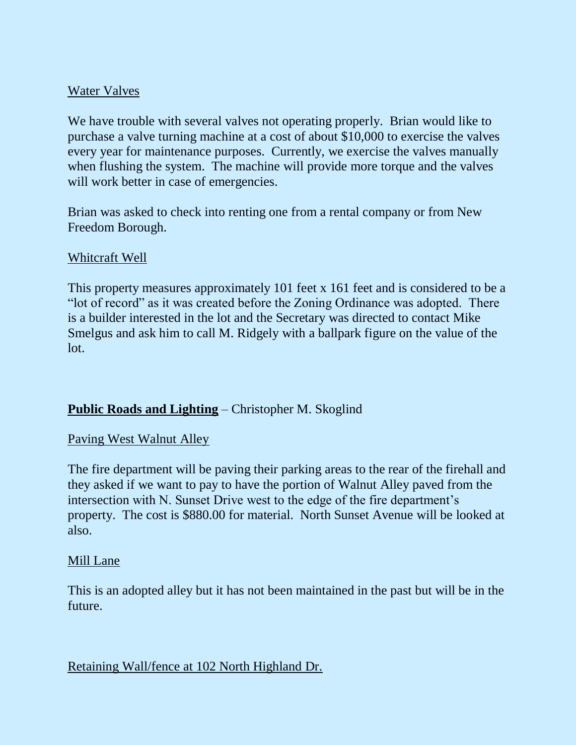# Water Valves

We have trouble with several valves not operating properly. Brian would like to purchase a valve turning machine at a cost of about \$10,000 to exercise the valves every year for maintenance purposes. Currently, we exercise the valves manually when flushing the system. The machine will provide more torque and the valves will work better in case of emergencies.

Brian was asked to check into renting one from a rental company or from New Freedom Borough.

# Whitcraft Well

This property measures approximately 101 feet x 161 feet and is considered to be a "lot of record" as it was created before the Zoning Ordinance was adopted. There is a builder interested in the lot and the Secretary was directed to contact Mike Smelgus and ask him to call M. Ridgely with a ballpark figure on the value of the lot.

# **Public Roads and Lighting** – Christopher M. Skoglind

#### Paving West Walnut Alley

The fire department will be paving their parking areas to the rear of the firehall and they asked if we want to pay to have the portion of Walnut Alley paved from the intersection with N. Sunset Drive west to the edge of the fire department's property. The cost is \$880.00 for material. North Sunset Avenue will be looked at also.

#### Mill Lane

This is an adopted alley but it has not been maintained in the past but will be in the future.

# Retaining Wall/fence at 102 North Highland Dr.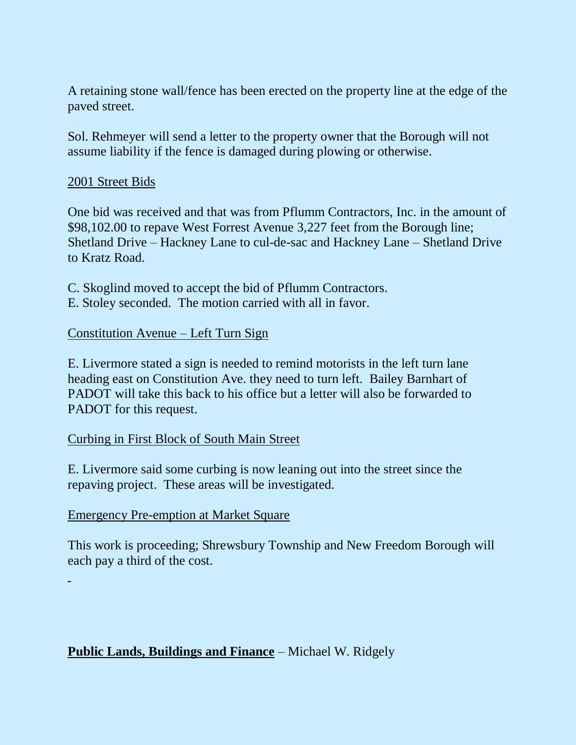A retaining stone wall/fence has been erected on the property line at the edge of the paved street.

Sol. Rehmeyer will send a letter to the property owner that the Borough will not assume liability if the fence is damaged during plowing or otherwise.

#### 2001 Street Bids

One bid was received and that was from Pflumm Contractors, Inc. in the amount of \$98,102.00 to repave West Forrest Avenue 3,227 feet from the Borough line; Shetland Drive – Hackney Lane to cul-de-sac and Hackney Lane – Shetland Drive to Kratz Road.

- C. Skoglind moved to accept the bid of Pflumm Contractors.
- E. Stoley seconded. The motion carried with all in favor.

#### Constitution Avenue – Left Turn Sign

E. Livermore stated a sign is needed to remind motorists in the left turn lane heading east on Constitution Ave. they need to turn left. Bailey Barnhart of PADOT will take this back to his office but a letter will also be forwarded to PADOT for this request.

# Curbing in First Block of South Main Street

E. Livermore said some curbing is now leaning out into the street since the repaving project. These areas will be investigated.

#### Emergency Pre-emption at Market Square

This work is proceeding; Shrewsbury Township and New Freedom Borough will each pay a third of the cost.

# **Public Lands, Buildings and Finance** – Michael W. Ridgely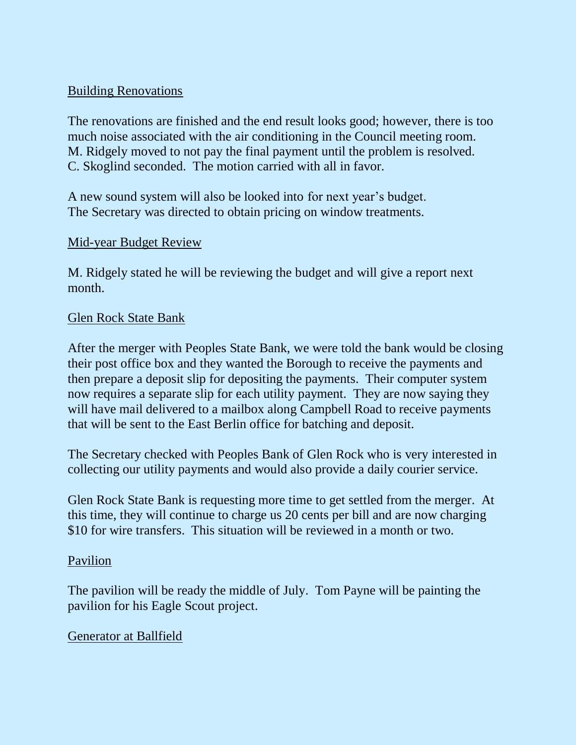# Building Renovations

The renovations are finished and the end result looks good; however, there is too much noise associated with the air conditioning in the Council meeting room. M. Ridgely moved to not pay the final payment until the problem is resolved. C. Skoglind seconded. The motion carried with all in favor.

A new sound system will also be looked into for next year's budget. The Secretary was directed to obtain pricing on window treatments.

# Mid-year Budget Review

M. Ridgely stated he will be reviewing the budget and will give a report next month.

#### Glen Rock State Bank

After the merger with Peoples State Bank, we were told the bank would be closing their post office box and they wanted the Borough to receive the payments and then prepare a deposit slip for depositing the payments. Their computer system now requires a separate slip for each utility payment. They are now saying they will have mail delivered to a mailbox along Campbell Road to receive payments that will be sent to the East Berlin office for batching and deposit.

The Secretary checked with Peoples Bank of Glen Rock who is very interested in collecting our utility payments and would also provide a daily courier service.

Glen Rock State Bank is requesting more time to get settled from the merger. At this time, they will continue to charge us 20 cents per bill and are now charging \$10 for wire transfers. This situation will be reviewed in a month or two.

# Pavilion

The pavilion will be ready the middle of July. Tom Payne will be painting the pavilion for his Eagle Scout project.

# Generator at Ballfield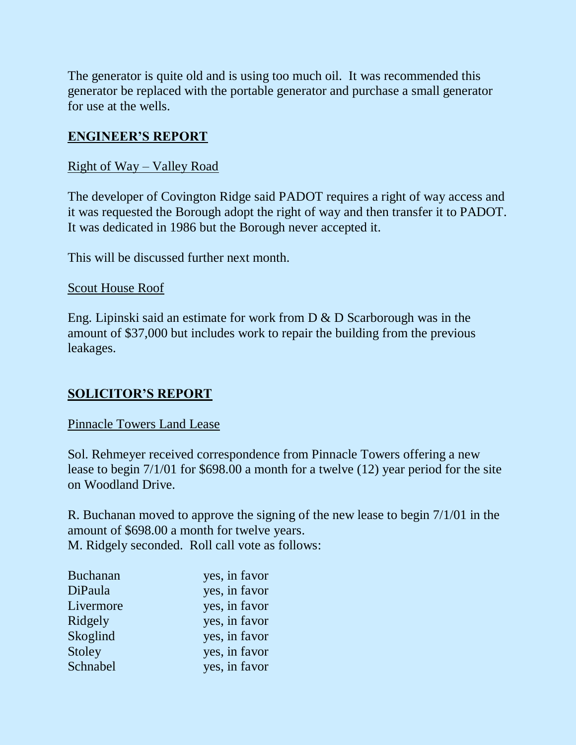The generator is quite old and is using too much oil. It was recommended this generator be replaced with the portable generator and purchase a small generator for use at the wells.

# **ENGINEER'S REPORT**

# Right of Way – Valley Road

The developer of Covington Ridge said PADOT requires a right of way access and it was requested the Borough adopt the right of way and then transfer it to PADOT. It was dedicated in 1986 but the Borough never accepted it.

This will be discussed further next month.

#### Scout House Roof

Eng. Lipinski said an estimate for work from D & D Scarborough was in the amount of \$37,000 but includes work to repair the building from the previous leakages.

# **SOLICITOR'S REPORT**

# Pinnacle Towers Land Lease

Sol. Rehmeyer received correspondence from Pinnacle Towers offering a new lease to begin 7/1/01 for \$698.00 a month for a twelve (12) year period for the site on Woodland Drive.

R. Buchanan moved to approve the signing of the new lease to begin 7/1/01 in the amount of \$698.00 a month for twelve years. M. Ridgely seconded. Roll call vote as follows:

| <b>Buchanan</b> | yes, in favor |
|-----------------|---------------|
| DiPaula         | yes, in favor |
| Livermore       | yes, in favor |
| Ridgely         | yes, in favor |
| Skoglind        | yes, in favor |
| Stoley          | yes, in favor |
| Schnabel        | yes, in favor |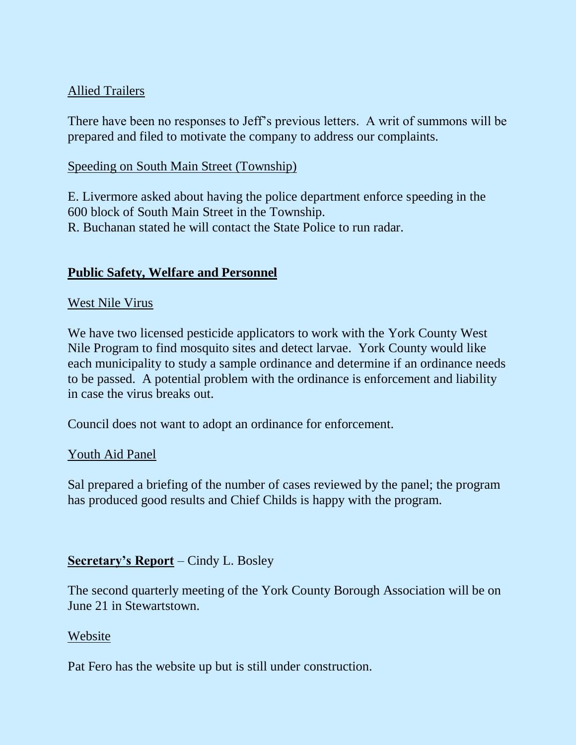# Allied Trailers

There have been no responses to Jeff's previous letters. A writ of summons will be prepared and filed to motivate the company to address our complaints.

# Speeding on South Main Street (Township)

E. Livermore asked about having the police department enforce speeding in the 600 block of South Main Street in the Township. R. Buchanan stated he will contact the State Police to run radar.

# **Public Safety, Welfare and Personnel**

# West Nile Virus

We have two licensed pesticide applicators to work with the York County West Nile Program to find mosquito sites and detect larvae. York County would like each municipality to study a sample ordinance and determine if an ordinance needs to be passed. A potential problem with the ordinance is enforcement and liability in case the virus breaks out.

Council does not want to adopt an ordinance for enforcement.

# Youth Aid Panel

Sal prepared a briefing of the number of cases reviewed by the panel; the program has produced good results and Chief Childs is happy with the program.

# **Secretary's Report** – Cindy L. Bosley

The second quarterly meeting of the York County Borough Association will be on June 21 in Stewartstown.

# Website

Pat Fero has the website up but is still under construction.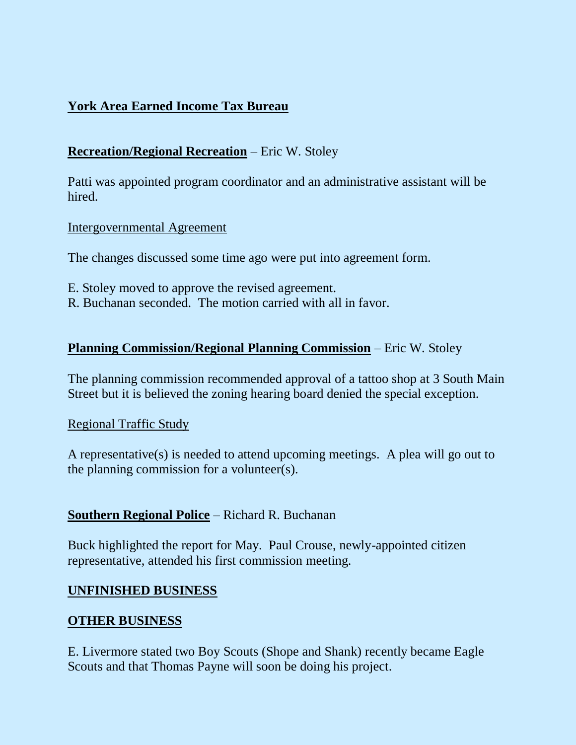# **York Area Earned Income Tax Bureau**

# **Recreation/Regional Recreation** – Eric W. Stoley

Patti was appointed program coordinator and an administrative assistant will be hired.

#### Intergovernmental Agreement

The changes discussed some time ago were put into agreement form.

- E. Stoley moved to approve the revised agreement.
- R. Buchanan seconded. The motion carried with all in favor.

# **Planning Commission/Regional Planning Commission** – Eric W. Stoley

The planning commission recommended approval of a tattoo shop at 3 South Main Street but it is believed the zoning hearing board denied the special exception.

#### Regional Traffic Study

A representative(s) is needed to attend upcoming meetings. A plea will go out to the planning commission for a volunteer(s).

# **Southern Regional Police** – Richard R. Buchanan

Buck highlighted the report for May. Paul Crouse, newly-appointed citizen representative, attended his first commission meeting.

# **UNFINISHED BUSINESS**

# **OTHER BUSINESS**

E. Livermore stated two Boy Scouts (Shope and Shank) recently became Eagle Scouts and that Thomas Payne will soon be doing his project.